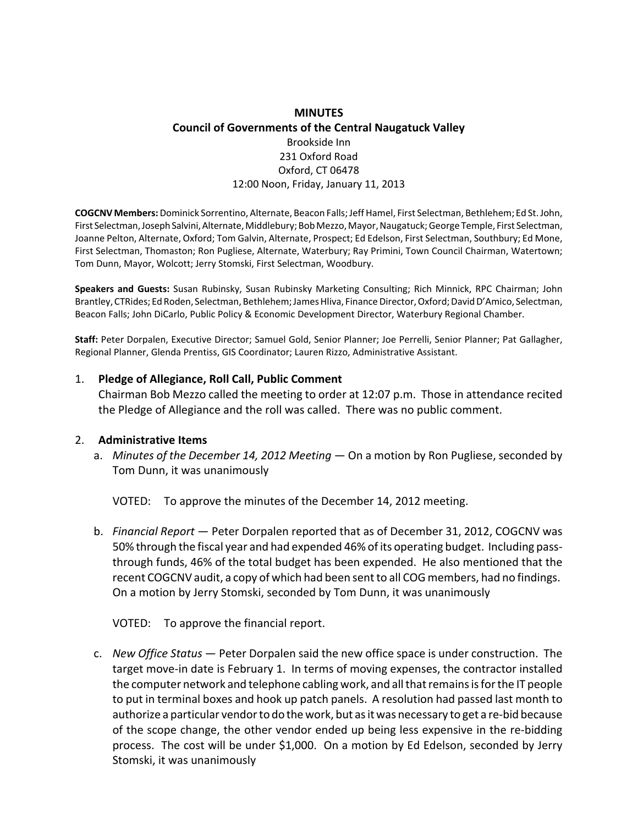# **MINUTES Council of Governments of the Central Naugatuck Valley** Brookside Inn 231 Oxford Road Oxford, CT 06478 12:00 Noon, Friday, January 11, 2013

**COGCNV Members:**Dominick Sorrentino, Alternate, Beacon Falls;JeffHamel, First Selectman, Bethlehem; Ed St.John, First Selectman, Joseph Salvini, Alternate, Middlebury; Bob Mezzo, Mayor, Naugatuck; George Temple, First Selectman, Joanne Pelton, Alternate, Oxford; Tom Galvin, Alternate, Prospect; Ed Edelson, First Selectman, Southbury; Ed Mone, First Selectman, Thomaston; Ron Pugliese, Alternate, Waterbury; Ray Primini, Town Council Chairman, Watertown; Tom Dunn, Mayor, Wolcott; Jerry Stomski, First Selectman, Woodbury.

**Speakers and Guests:** Susan Rubinsky, Susan Rubinsky Marketing Consulting; Rich Minnick, RPC Chairman; John Brantley, CTRides; Ed Roden, Selectman, Bethlehem; James Hliva, Finance Director, Oxford; David D'Amico, Selectman, Beacon Falls; John DiCarlo, Public Policy & Economic Development Director, Waterbury Regional Chamber.

**Staff:** Peter Dorpalen, Executive Director; Samuel Gold, Senior Planner; Joe Perrelli, Senior Planner; Pat Gallagher, Regional Planner, Glenda Prentiss, GIS Coordinator; Lauren Rizzo, Administrative Assistant.

#### 1. **Pledge of Allegiance, Roll Call, Public Comment**

Chairman Bob Mezzo called the meeting to order at 12:07 p.m. Those in attendance recited the Pledge of Allegiance and the roll was called. There was no public comment.

#### 2. **Administrative Items**

a. *Minutes of the December 14, 2012 Meeting* — On a motion by Ron Pugliese, seconded by Tom Dunn, it was unanimously

VOTED: To approve the minutes of the December 14, 2012 meeting.

b. *Financial Report* — Peter Dorpalen reported that as of December 31, 2012, COGCNV was 50% through the fiscal year and had expended 46% of its operating budget. Including pass‐ through funds, 46% of the total budget has been expended. He also mentioned that the recent COGCNV audit, a copy of which had been sent to all COG members, had no findings. On a motion by Jerry Stomski, seconded by Tom Dunn, it was unanimously

VOTED: To approve the financial report.

c. *New Office Status* — Peter Dorpalen said the new office space is under construction. The target move‐in date is February 1. In terms of moving expenses, the contractor installed the computer network and telephone cabling work, and all that remains is for the IT people to put in terminal boxes and hook up patch panels. A resolution had passed last month to authorize a particular vendor to do the work, but as it was necessary to get a re-bid because of the scope change, the other vendor ended up being less expensive in the re‐bidding process. The cost will be under \$1,000. On a motion by Ed Edelson, seconded by Jerry Stomski, it was unanimously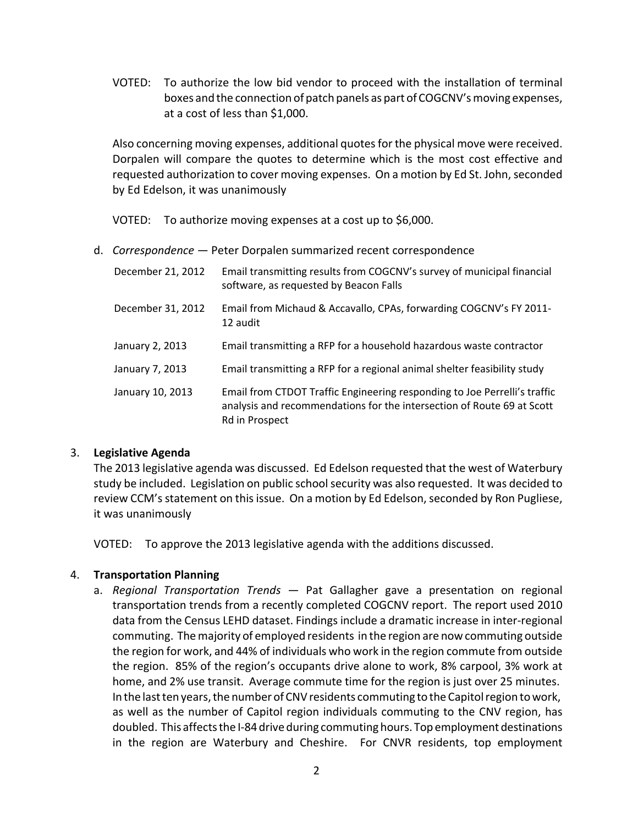VOTED: To authorize the low bid vendor to proceed with the installation of terminal boxes and the connection of patch panels as part of COGCNV'smoving expenses, at a cost of less than \$1,000.

Also concerning moving expenses, additional quotesfor the physical move were received. Dorpalen will compare the quotes to determine which is the most cost effective and requested authorization to cover moving expenses. On a motion by Ed St. John, seconded by Ed Edelson, it was unanimously

VOTED: To authorize moving expenses at a cost up to \$6,000.

d. *Correspondence* — Peter Dorpalen summarized recent correspondence

| December 21, 2012 | Email transmitting results from COGCNV's survey of municipal financial<br>software, as requested by Beacon Falls                                                      |
|-------------------|-----------------------------------------------------------------------------------------------------------------------------------------------------------------------|
| December 31, 2012 | Email from Michaud & Accavallo, CPAs, forwarding COGCNV's FY 2011-<br>12 audit                                                                                        |
| January 2, 2013   | Email transmitting a RFP for a household hazardous waste contractor                                                                                                   |
| January 7, 2013   | Email transmitting a RFP for a regional animal shelter feasibility study                                                                                              |
| January 10, 2013  | Email from CTDOT Traffic Engineering responding to Joe Perrelli's traffic<br>analysis and recommendations for the intersection of Route 69 at Scott<br>Rd in Prospect |

### 3. **Legislative Agenda**

The 2013 legislative agenda was discussed. Ed Edelson requested that the west of Waterbury study be included. Legislation on public school security was also requested. It was decided to review CCM's statement on this issue. On a motion by Ed Edelson, seconded by Ron Pugliese, it was unanimously

VOTED: To approve the 2013 legislative agenda with the additions discussed.

## 4. **Transportation Planning**

a. *Regional Transportation Trends* — Pat Gallagher gave a presentation on regional transportation trends from a recently completed COGCNV report. The report used 2010 data from the Census LEHD dataset. Findings include a dramatic increase in inter‐regional commuting. Themajority of employed residents in the region are now commuting outside the region for work, and 44% of individuals who work in the region commute from outside the region. 85% of the region's occupants drive alone to work, 8% carpool, 3% work at home, and 2% use transit. Average commute time for the region is just over 25 minutes. In the last ten years, the number of CNV residents commuting to the Capitol region to work, as well as the number of Capitol region individuals commuting to the CNV region, has doubled. This affects the I-84 drive during commuting hours. Top employment destinations in the region are Waterbury and Cheshire. For CNVR residents, top employment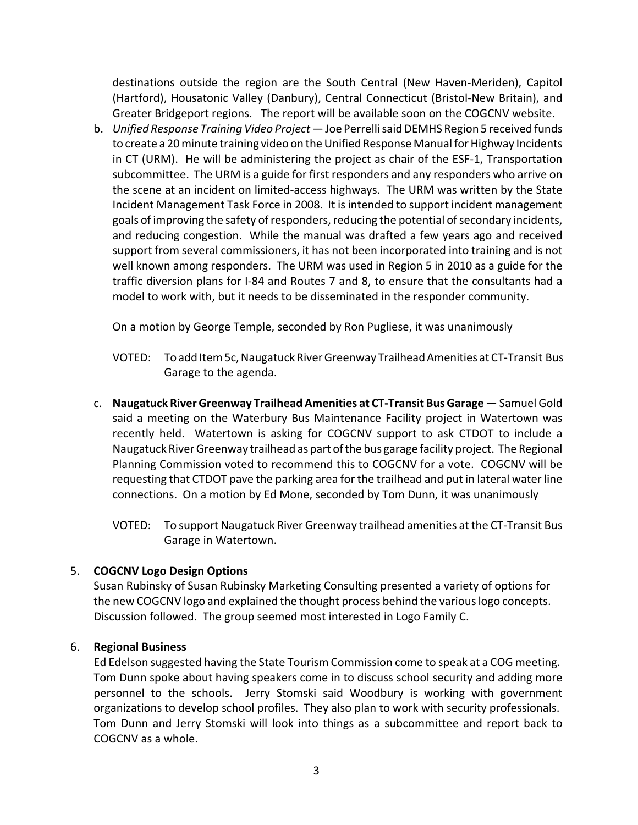destinations outside the region are the South Central (New Haven‐Meriden), Capitol (Hartford), Housatonic Valley (Danbury), Central Connecticut (Bristol‐New Britain), and Greater Bridgeport regions. The report will be available soon on the COGCNV website.

b. *Unified Response Training Video Project*—Joe PerrellisaidDEMHS Region 5 received funds to create a 20 minute training video on the Unified Response Manual for Highway Incidents in CT (URM). He will be administering the project as chair of the ESF‐1, Transportation subcommittee. The URM is a guide for first responders and any responders who arrive on the scene at an incident on limited‐access highways. The URM was written by the State Incident Management Task Force in 2008. It isintended to support incident management goals of improving the safety of responders, reducing the potential of secondary incidents, and reducing congestion. While the manual was drafted a few years ago and received support from several commissioners, it has not been incorporated into training and is not well known among responders. The URM was used in Region 5 in 2010 as a guide for the traffic diversion plans for I‐84 and Routes 7 and 8, to ensure that the consultants had a model to work with, but it needs to be disseminated in the responder community.

On a motion by George Temple, seconded by Ron Pugliese, it was unanimously

- VOTED: To add Item 5c, Naugatuck River Greenway Trailhead Amenities at CT-Transit Bus Garage to the agenda.
- c. **Naugatuck River Greenway Trailhead Amenities at CT‐Transit Bus Garage** Samuel Gold said a meeting on the Waterbury Bus Maintenance Facility project in Watertown was recently held. Watertown is asking for COGCNV support to ask CTDOT to include a Naugatuck RiverGreenway trailhead as part ofthe bus garage facility project. The Regional Planning Commission voted to recommend this to COGCNV for a vote. COGCNV will be requesting that CTDOT pave the parking area for the trailhead and put in lateral water line connections. On a motion by Ed Mone, seconded by Tom Dunn, it was unanimously

VOTED: To support Naugatuck River Greenway trailhead amenities at the CT‐Transit Bus Garage in Watertown.

## 5. **COGCNV Logo Design Options**

Susan Rubinsky of Susan Rubinsky Marketing Consulting presented a variety of options for the new COGCNV logo and explained the thought process behind the various logo concepts. Discussion followed. The group seemed most interested in Logo Family C.

### 6. **Regional Business**

Ed Edelson suggested having the State Tourism Commission come to speak at a COG meeting. Tom Dunn spoke about having speakers come in to discuss school security and adding more personnel to the schools. Jerry Stomski said Woodbury is working with government organizations to develop school profiles. They also plan to work with security professionals. Tom Dunn and Jerry Stomski will look into things as a subcommittee and report back to COGCNV as a whole.